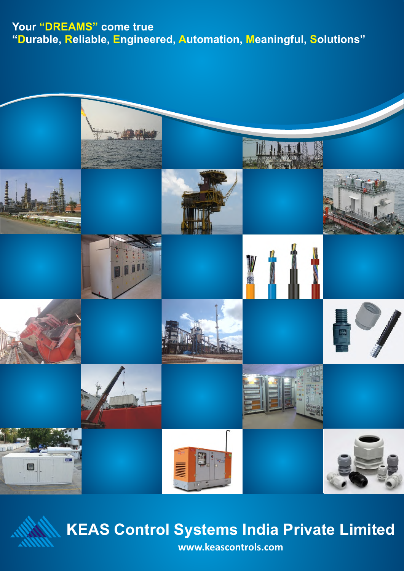### Your "DREAMS" come true **"Durable, Reliable, Engineered, Automation, Meaningful, Solutions"**





# **KEAS Control Systems India Private Limited**

**www.keascontrols.com**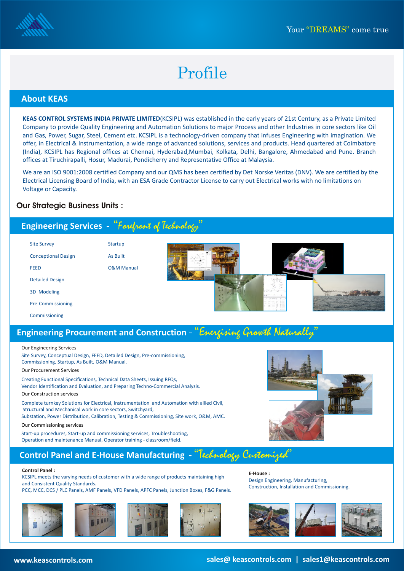

# Profile

### **About KEAS**

**KEAS CONTROL SYSTEMS INDIA PRIVATE LIMITED**(KCSIPL) was established in the early years of 21st Century, as a Private Limited Company to provide Quality Engineering and Automation Solutions to major Process and other Industries in core sectors like Oil and Ga**s**, Power, Sugar, Steel, Cement etc. KCSIPL is a technology-driven company that infuses Engineering with imagination. We offer, in Electrical & Instrumentation, a wide range of advanced solutions, services and products. Head quartered at Coimbatore (India), KCSIPL has Regional offices at Chennai, Hyderabad,Mumbai, Kolkata, Delhi, Bangalore, Ahmedabad and Pune. Branch offices at Tiruchirapalli, Hosur, Madurai, Pondicherry and Representative Office at Malaysia.

We are an ISO 9001:2008 certified Company and our QMS has been certified by Det Norske Veritas (DNV). We are certified by the Electrical Licensing Board of India, with an ESA Grade Contractor License to carry out Electrical works with no limitations on Voltage or Capacity.

### **Our Strategic Business Units :**

### Engineering Services - "Foreport of Technology" Startup As Built O&M Manual Site Survey Conceptional Design FEED Detailed Design 3D Modeling Pre-Commissioning Commissioning

### **Engineering Procurement and Construction** - "Energising Growth Naturally

#### Our Engineering Services

Site Survey, Conceptual Design, FEED, Detailed Design, Pre-commissioning, Commissioning, Startup, As Built, O&M Manual.

#### Our Procurement Services

Creating Functional Specifications, Technical Data Sheets, Issuing RFQs, Vendor Identification and Evaluation, and Preparing Techno-Commercial Analysis. Our Construction services

Complete turnkey Solutions for Electrical, Instrumentation and Automation with allied Civil, Structural and Mechanical work in core sectors, Switchyard,

Substation, Power Distribution, Calibration, Testing & Commissioning, Site work, O&M, AMC.

Our Commissioning services

Start-up procedures, Start-up and commissioning services, Troubleshooting, Operation and maintenance Manual, Operator training - classroom/field.

### **Control Panel and E-House Manufacturing -** "Technology Customized"

#### **Control Panel :**

KCSIPL meets the varying needs of customer with a wide range of products maintaining high and Consistent Quality Standards.

PCC, MCC, DCS / PLC Panels, AMF Panels, VFD Panels, APFC Panels, Junction Boxes, F&G Panels.









**E-House :** Design Engineering, Manufacturing, Construction, Installation and Commissioning.



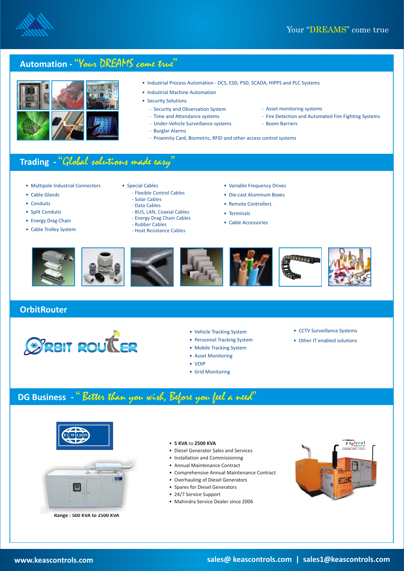



- Industrial Process Automation DCS, ESD, PSD, SCADA, HIPPS and PLC Systems
- Industrial Machine Automation
- Security Solutions

Burglar Alarms -

- Security and Observation System - Time and Attendance systems

Under-Vehicle Surveillance systems -

- Asset monitoring systems -
- Fire Detection and Automated Fire Fighting Systems
- Boom Barriers
- Proximity Card, Biometric, RFID and other access control systems

### **Trading -** "Global solutions made easy"

- Multipole Industrial Connectors
- Cable Glands
- Conduits
- Split Conduits
- Energy Drag Chain
- Cable Trolley System
- 
- Flexible Control Cables
- Solar Cables
- Data Cables
- BUS, LAN, Coaxial Cables - Energy Drag Chain Cables
- Rubber Cables
- Heat Resistance Cables
- Special Cables Variable Frequency Drives
	- Die-cast Aluminum Boxes
	- Remote Controllers
	- Terminals
	- Cable Accessories



### **OrbitRouter**



- Vehicle Tracking System
- Personnel Tracking System
- Mobile Tracking System
- Asset Monitoring
- VOIP
- Grid Monitoring
- CCTV Surveillance Systems
- Other IT enabled solutions

## **DG Business -** " Better than you wish, Before you feel a need"



**Range : 500 KVA to 2500 KVA**

- **5 KVA** to **2500 KVA**
- Diesel Generator Sales and Services
- Installation and Commissioning
- Annual Maintenance Contract
- Comprehensive Annual Maintenance Contract
- Overhauling of Diesel Generators
- Spares for Diesel Generators
- 24/7 Service Support
- Mahindra Service Dealer since 2006